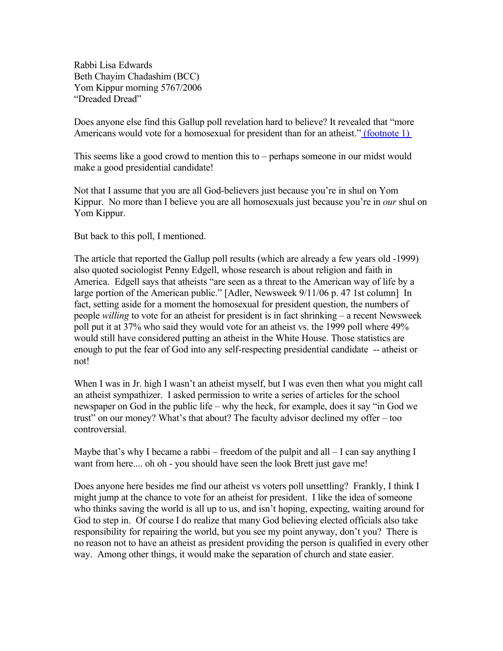Rabbi Lisa Edwards Beth Chayim Chadashim (BCC) Yom Kippur morning 5767/2006 "Dreaded Dread"

Does anyone else find this Gallup poll revelation hard to believe? It revealed that "more Americans would vote for a homosexual for president than for an atheist." (footnote 1)

This seems like a good crowd to mention this to – perhaps someone in our midst would make a good presidential candidate!

Not that I assume that you are all God-believers just because you're in shul on Yom Kippur. No more than I believe you are all homosexuals just because you're in *our* shul on Yom Kippur.

But back to this poll, I mentioned.

The article that reported the Gallup poll results (which are already a few years old -1999) also quoted sociologist Penny Edgell, whose research is about religion and faith in America. Edgell says that atheists "are seen as a threat to the American way of life by a large portion of the American public." [Adler, Newsweek 9/11/06 p. 47 1st column] In fact, setting aside for a moment the homosexual for president question, the numbers of people *willing* to vote for an atheist for president is in fact shrinking – a recent Newsweek poll put it at 37% who said they would vote for an atheist vs. the 1999 poll where 49% would still have considered putting an atheist in the White House. Those statistics are enough to put the fear of God into any self-respecting presidential candidate -- atheist or not!

When I was in Jr. high I wasn't an atheist myself, but I was even then what you might call an atheist sympathizer. I asked permission to write a series of articles for the school newspaper on God in the public life – why the heck, for example, does it say "in God we trust" on our money? What's that about? The faculty advisor declined my offer – too controversial.

Maybe that's why I became a rabbi – freedom of the pulpit and all – I can say anything I want from here.... oh oh - you should have seen the look Brett just gave me!

Does anyone here besides me find our atheist vs voters poll unsettling? Frankly, I think I might jump at the chance to vote for an atheist for president. I like the idea of someone who thinks saving the world is all up to us, and isn't hoping, expecting, waiting around for God to step in. Of course I do realize that many God believing elected officials also take responsibility for repairing the world, but you see my point anyway, don't you? There is no reason not to have an atheist as president providing the person is qualified in every other way. Among other things, it would make the separation of church and state easier.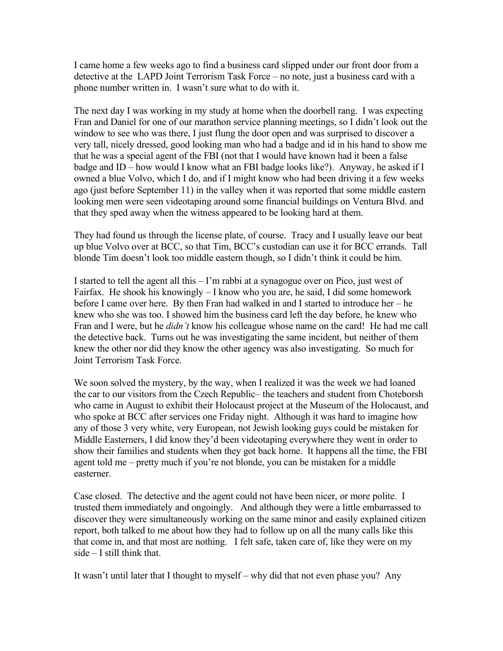I came home a few weeks ago to find a business card slipped under our front door from a detective at the LAPD Joint Terrorism Task Force – no note, just a business card with a phone number written in. I wasn't sure what to do with it.

The next day I was working in my study at home when the doorbell rang. I was expecting Fran and Daniel for one of our marathon service planning meetings, so I didn't look out the window to see who was there, I just flung the door open and was surprised to discover a very tall, nicely dressed, good looking man who had a badge and id in his hand to show me that he was a special agent of the FBI (not that I would have known had it been a false badge and ID – how would I know what an FBI badge looks like?). Anyway, he asked if I owned a blue Volvo, which I do, and if I might know who had been driving it a few weeks ago (just before September 11) in the valley when it was reported that some middle eastern looking men were seen videotaping around some financial buildings on Ventura Blvd. and that they sped away when the witness appeared to be looking hard at them.

They had found us through the license plate, of course. Tracy and I usually leave our beat up blue Volvo over at BCC, so that Tim, BCC's custodian can use it for BCC errands. Tall blonde Tim doesn't look too middle eastern though, so I didn't think it could be him.

I started to tell the agent all this – I'm rabbi at a synagogue over on Pico, just west of Fairfax. He shook his knowingly – I know who you are, he said, I did some homework before I came over here. By then Fran had walked in and I started to introduce her – he knew who she was too. I showed him the business card left the day before, he knew who Fran and I were, but he *didn't* know his colleague whose name on the card! He had me call the detective back. Turns out he was investigating the same incident, but neither of them knew the other nor did they know the other agency was also investigating. So much for Joint Terrorism Task Force.

We soon solved the mystery, by the way, when I realized it was the week we had loaned the car to our visitors from the Czech Republic– the teachers and student from Choteborsh who came in August to exhibit their Holocaust project at the Museum of the Holocaust, and who spoke at BCC after services one Friday night. Although it was hard to imagine how any of those 3 very white, very European, not Jewish looking guys could be mistaken for Middle Easterners, I did know they'd been videotaping everywhere they went in order to show their families and students when they got back home. It happens all the time, the FBI agent told me – pretty much if you're not blonde, you can be mistaken for a middle easterner.

Case closed. The detective and the agent could not have been nicer, or more polite. I trusted them immediately and ongoingly. And although they were a little embarrassed to discover they were simultaneously working on the same minor and easily explained citizen report, both talked to me about how they had to follow up on all the many calls like this that come in, and that most are nothing. I felt safe, taken care of, like they were on my side – I still think that.

It wasn't until later that I thought to myself – why did that not even phase you? Any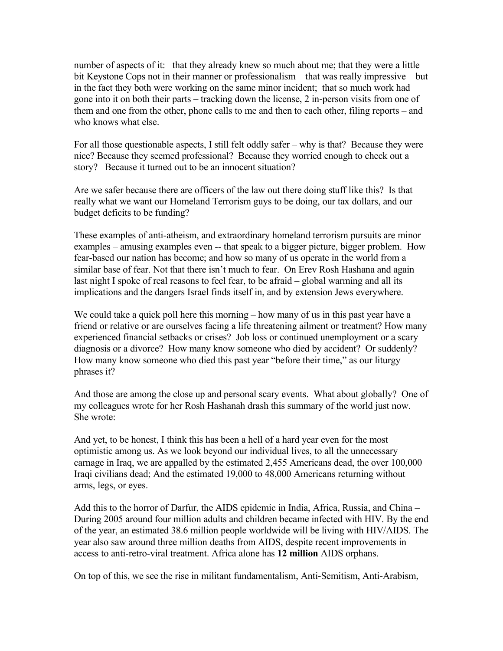number of aspects of it: that they already knew so much about me; that they were a little bit Keystone Cops not in their manner or professionalism – that was really impressive – but in the fact they both were working on the same minor incident; that so much work had gone into it on both their parts – tracking down the license, 2 in-person visits from one of them and one from the other, phone calls to me and then to each other, filing reports – and who knows what else.

For all those questionable aspects, I still felt oddly safer – why is that? Because they were nice? Because they seemed professional? Because they worried enough to check out a story? Because it turned out to be an innocent situation?

Are we safer because there are officers of the law out there doing stuff like this? Is that really what we want our Homeland Terrorism guys to be doing, our tax dollars, and our budget deficits to be funding?

These examples of anti-atheism, and extraordinary homeland terrorism pursuits are minor examples – amusing examples even -- that speak to a bigger picture, bigger problem. How fear-based our nation has become; and how so many of us operate in the world from a similar base of fear. Not that there isn't much to fear. On Erev Rosh Hashana and again last night I spoke of real reasons to feel fear, to be afraid – global warming and all its implications and the dangers Israel finds itself in, and by extension Jews everywhere.

We could take a quick poll here this morning – how many of us in this past year have a friend or relative or are ourselves facing a life threatening ailment or treatment? How many experienced financial setbacks or crises? Job loss or continued unemployment or a scary diagnosis or a divorce? How many know someone who died by accident? Or suddenly? How many know someone who died this past year "before their time," as our liturgy phrases it?

And those are among the close up and personal scary events. What about globally? One of my colleagues wrote for her Rosh Hashanah drash this summary of the world just now. She wrote:

And yet, to be honest, I think this has been a hell of a hard year even for the most optimistic among us. As we look beyond our individual lives, to all the unnecessary carnage in Iraq, we are appalled by the estimated 2,455 Americans dead, the over 100,000 Iraqi civilians dead; And the estimated 19,000 to 48,000 Americans returning without arms, legs, or eyes.

Add this to the horror of Darfur, the AIDS epidemic in India, Africa, Russia, and China – During 2005 around four million adults and children became infected with HIV. By the end of the year, an estimated 38.6 million people worldwide will be living with HIV/AIDS. The year also saw around three million deaths from AIDS, despite recent improvements in access to anti-retro-viral treatment. Africa alone has **12 million** AIDS orphans.

On top of this, we see the rise in militant fundamentalism, Anti-Semitism, Anti-Arabism,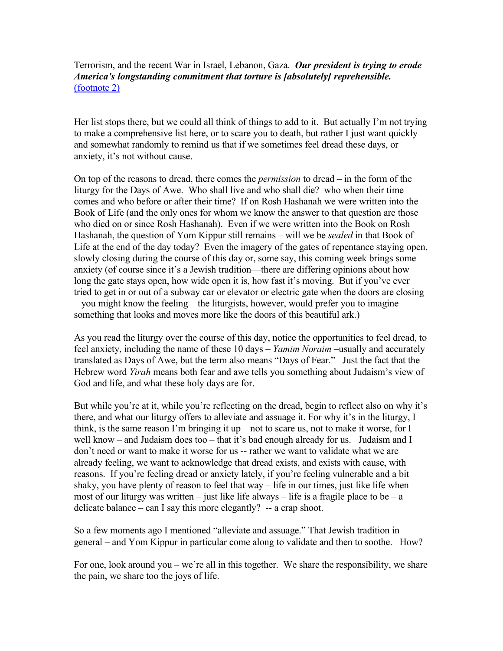Terrorism, and the recent War in Israel, Lebanon, Gaza. *Our president is trying to erode America's longstanding commitment that torture is [absolutely] reprehensible.* [\(footnote 2\)](http://www.bcc-la.org/drashot/5767YK.html#footnote2)

Her list stops there, but we could all think of things to add to it. But actually I'm not trying to make a comprehensive list here, or to scare you to death, but rather I just want quickly and somewhat randomly to remind us that if we sometimes feel dread these days, or anxiety, it's not without cause.

On top of the reasons to dread, there comes the *permission* to dread – in the form of the liturgy for the Days of Awe. Who shall live and who shall die? who when their time comes and who before or after their time? If on Rosh Hashanah we were written into the Book of Life (and the only ones for whom we know the answer to that question are those who died on or since Rosh Hashanah). Even if we were written into the Book on Rosh Hashanah, the question of Yom Kippur still remains – will we be *sealed* in that Book of Life at the end of the day today? Even the imagery of the gates of repentance staying open, slowly closing during the course of this day or, some say, this coming week brings some anxiety (of course since it's a Jewish tradition—there are differing opinions about how long the gate stays open, how wide open it is, how fast it's moving. But if you've ever tried to get in or out of a subway car or elevator or electric gate when the doors are closing – you might know the feeling – the liturgists, however, would prefer you to imagine something that looks and moves more like the doors of this beautiful ark.)

As you read the liturgy over the course of this day, notice the opportunities to feel dread, to feel anxiety, including the name of these 10 days – *Yamim Noraim* –usually and accurately translated as Days of Awe, but the term also means "Days of Fear." Just the fact that the Hebrew word *Yirah* means both fear and awe tells you something about Judaism's view of God and life, and what these holy days are for.

But while you're at it, while you're reflecting on the dread, begin to reflect also on why it's there, and what our liturgy offers to alleviate and assuage it. For why it's in the liturgy, I think, is the same reason I'm bringing it up – not to scare us, not to make it worse, for I well know – and Judaism does too – that it's bad enough already for us. Judaism and I don't need or want to make it worse for us -- rather we want to validate what we are already feeling, we want to acknowledge that dread exists, and exists with cause, with reasons. If you're feeling dread or anxiety lately, if you're feeling vulnerable and a bit shaky, you have plenty of reason to feel that way – life in our times, just like life when most of our liturgy was written – just like life always – life is a fragile place to be – a delicate balance – can I say this more elegantly? -- a crap shoot.

So a few moments ago I mentioned "alleviate and assuage." That Jewish tradition in general – and Yom Kippur in particular come along to validate and then to soothe. How?

For one, look around you – we're all in this together. We share the responsibility, we share the pain, we share too the joys of life.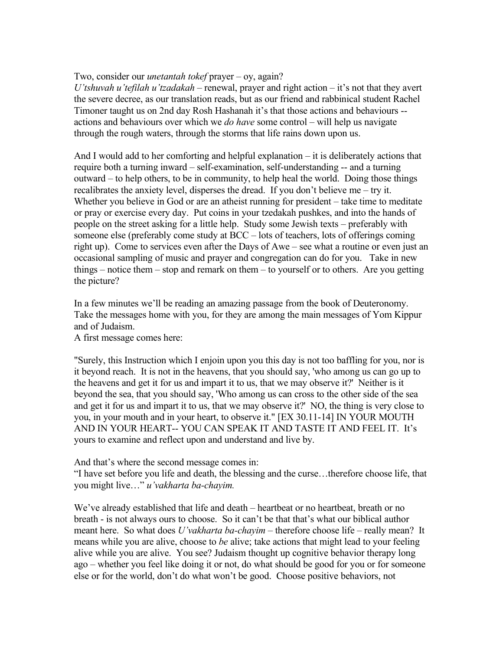## Two, consider our *unetantah tokef* prayer – oy, again?

*U'tshuvah u'tefilah u'tzadakah* – renewal, prayer and right action – it's not that they avert the severe decree, as our translation reads, but as our friend and rabbinical student Rachel Timoner taught us on 2nd day Rosh Hashanah it's that those actions and behaviours - actions and behaviours over which we *do have* some control – will help us navigate through the rough waters, through the storms that life rains down upon us.

And I would add to her comforting and helpful explanation – it is deliberately actions that require both a turning inward – self-examination, self-understanding -- and a turning outward – to help others, to be in community, to help heal the world. Doing those things recalibrates the anxiety level, disperses the dread. If you don't believe me – try it. Whether you believe in God or are an atheist running for president – take time to meditate or pray or exercise every day. Put coins in your tzedakah pushkes, and into the hands of people on the street asking for a little help. Study some Jewish texts – preferably with someone else (preferably come study at BCC – lots of teachers, lots of offerings coming right up). Come to services even after the Days of Awe – see what a routine or even just an occasional sampling of music and prayer and congregation can do for you. Take in new things – notice them – stop and remark on them – to yourself or to others. Are you getting the picture?

In a few minutes we'll be reading an amazing passage from the book of Deuteronomy. Take the messages home with you, for they are among the main messages of Yom Kippur and of Judaism.

A first message comes here:

"Surely, this Instruction which I enjoin upon you this day is not too baffling for you, nor is it beyond reach. It is not in the heavens, that you should say, 'who among us can go up to the heavens and get it for us and impart it to us, that we may observe it?' Neither is it beyond the sea, that you should say, 'Who among us can cross to the other side of the sea and get it for us and impart it to us, that we may observe it?' NO, the thing is very close to you, in your mouth and in your heart, to observe it." [EX 30.11-14] IN YOUR MOUTH AND IN YOUR HEART-- YOU CAN SPEAK IT AND TASTE IT AND FEEL IT. It's yours to examine and reflect upon and understand and live by.

And that's where the second message comes in:

"I have set before you life and death, the blessing and the curse…therefore choose life, that you might live…" *u'vakharta ba-chayim.* 

We've already established that life and death – heartbeat or no heartbeat, breath or no breath - is not always ours to choose. So it can't be that that's what our biblical author meant here. So what does *U'vakharta ba-chayim* – therefore choose life – really mean? It means while you are alive, choose to *be* alive; take actions that might lead to your feeling alive while you are alive. You see? Judaism thought up cognitive behavior therapy long ago – whether you feel like doing it or not, do what should be good for you or for someone else or for the world, don't do what won't be good. Choose positive behaviors, not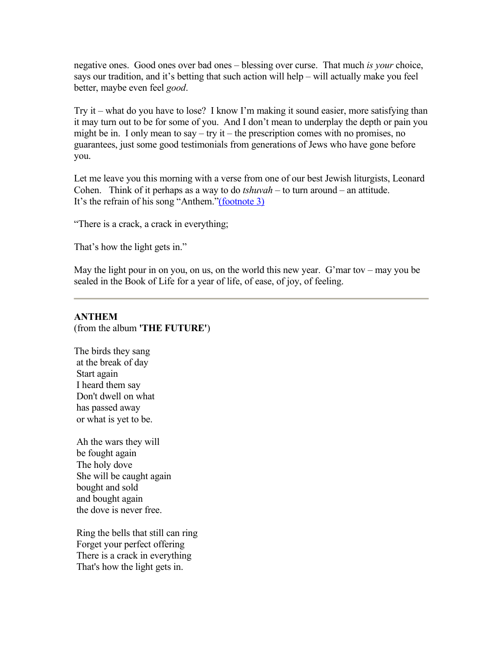negative ones. Good ones over bad ones – blessing over curse. That much *is your* choice, says our tradition, and it's betting that such action will help – will actually make you feel better, maybe even feel *good*.

Try it – what do you have to lose? I know I'm making it sound easier, more satisfying than it may turn out to be for some of you. And I don't mean to underplay the depth or pain you might be in. I only mean to say – try it – the prescription comes with no promises, no guarantees, just some good testimonials from generations of Jews who have gone before you.

Let me leave you this morning with a verse from one of our best Jewish liturgists, Leonard Cohen. Think of it perhaps as a way to do *tshuvah* – to turn around – an attitude. It's the refrain of his song "Anthem.["\(footnote 3\)](http://www.bcc-la.org/drashot/5767YK.html#footnote3)

"There is a crack, a crack in everything;

That's how the light gets in."

May the light pour in on you, on us, on the world this new year. G'mar tov – may you be sealed in the Book of Life for a year of life, of ease, of joy, of feeling.

## **ANTHEM**

(from the album **'THE FUTURE'**)

The birds they sang at the break of day Start again I heard them say Don't dwell on what has passed away or what is yet to be.

Ah the wars they will be fought again The holy dove She will be caught again bought and sold and bought again the dove is never free.

Ring the bells that still can ring Forget your perfect offering There is a crack in everything That's how the light gets in.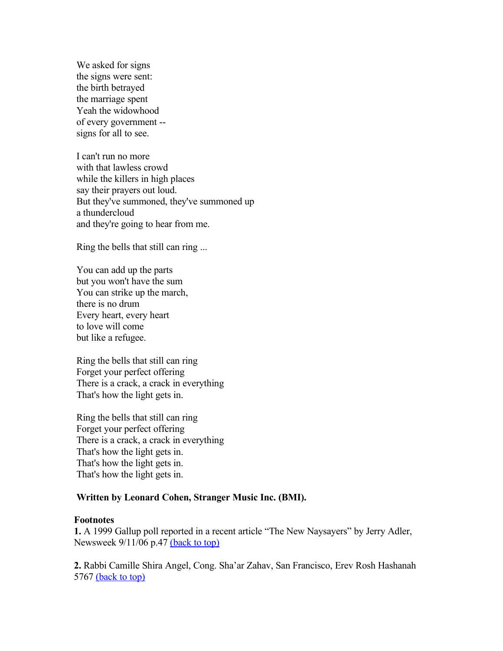We asked for signs the signs were sent: the birth betrayed the marriage spent Yeah the widowhood of every government - signs for all to see.

I can't run no more with that lawless crowd while the killers in high places say their prayers out loud. But they've summoned, they've summoned up a thundercloud and they're going to hear from me.

Ring the bells that still can ring ...

You can add up the parts but you won't have the sum You can strike up the march, there is no drum Every heart, every heart to love will come but like a refugee.

Ring the bells that still can ring Forget your perfect offering There is a crack, a crack in everything That's how the light gets in.

Ring the bells that still can ring Forget your perfect offering There is a crack, a crack in everything That's how the light gets in. That's how the light gets in. That's how the light gets in.

## **Written by Leonard Cohen, Stranger Music Inc. (BMI).**

## **Footnotes**

**1.** A 1999 Gallup poll reported in a recent article "The New Naysayers" by Jerry Adler, Newsweek 9/11/06 p.47 [\(back to top\)](http://www.bcc-la.org/drashot/5767YK.html#top1)

**2.** Rabbi Camille Shira Angel, Cong. Sha'ar Zahav, San Francisco, Erev Rosh Hashanah 5767 [\(back to top\)](http://www.bcc-la.org/drashot/5767YK.html#top2)